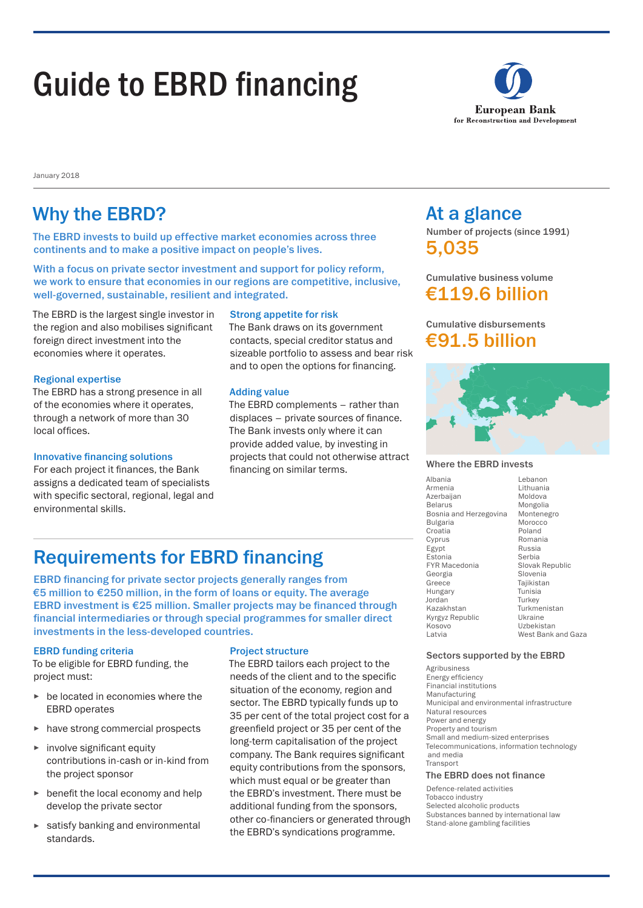# Guide to EBRD financing



January 2018

### Why the EBRD? At a glance

The EBRD invests to build up effective market economies across three continents and to make a positive impact on people's lives.

With a focus on private sector investment and support for policy reform, we work to ensure that economies in our regions are competitive, inclusive, well-governed, sustainable, resilient and integrated.

The EBRD is the largest single investor in the region and also mobilises significant foreign direct investment into the economies where it operates.

#### Regional expertise

The EBRD has a strong presence in all of the economies where it operates, through a network of more than 30 local offices.

#### Innovative financing solutions

For each project it finances, the Bank assigns a dedicated team of specialists with specific sectoral, regional, legal and environmental skills.

#### Strong appetite for risk

The Bank draws on its government contacts, special creditor status and sizeable portfolio to assess and bear risk and to open the options for financing.

#### Adding value

The EBRD complements – rather than displaces – private sources of finance. The Bank invests only where it can provide added value, by investing in projects that could not otherwise attract financing on similar terms.

Number of projects (since 1991) 5,035

Cumulative business volume €119.6 billion

### Cumulative disbursements €91.5 billion



#### Where the EBRD invests

Albania Armenia Azerbaijan Belarus Bosnia and Herzegovina Bulgaria Croatia Cyprus Egypt **Estonia** FYR Macedonia Georgia Greece Hungary Jordan Kazakhstan Kyrgyz Republic Kosovo Latvia Lebanon Lithuania Moldova Mongolia Montenegro Morocco Poland Romania Russia Serbia Slovak Republic Slovenia Tajikistan Tunisia Turkey Turkmenistan Ukraine Uzbekistan West Bank and Gaza

#### Sectors supported by the EBRD

Agribusiness Energy efficiency Financial institutions Manufacturing Municipal and environmental infrastructure Natural resources Power and energy Property and tourism Small and medium-sized enterprises Telecommunications, information technology and media **Transport** 

#### The EBRD does not finance

Defence-related activities Tobacco industry Selected alcoholic products Substances banned by international law Stand-alone gambling facilities

### Requirements for EBRD financing

EBRD financing for private sector projects generally ranges from €5 million to €250 million, in the form of loans or equity. The average EBRD investment is €25 million. Smaller projects may be financed through financial intermediaries or through special programmes for smaller direct investments in the less-developed countries.

#### EBRD funding criteria

To be eligible for EBRD funding, the project must:

- ► be located in economies where the EBRD operates
- ► have strong commercial prospects
- ► involve significant equity contributions in-cash or in-kind from the project sponsor
- ► benefit the local economy and help develop the private sector
- ► satisfy banking and environmental standards.

#### Project structure

The EBRD tailors each project to the needs of the client and to the specific situation of the economy, region and sector. The EBRD typically funds up to 35 per cent of the total project cost for a greenfield project or 35 per cent of the long-term capitalisation of the project company. The Bank requires significant equity contributions from the sponsors, which must equal or be greater than the EBRD's investment. There must be additional funding from the sponsors, other co-financiers or generated through the EBRD's syndications programme.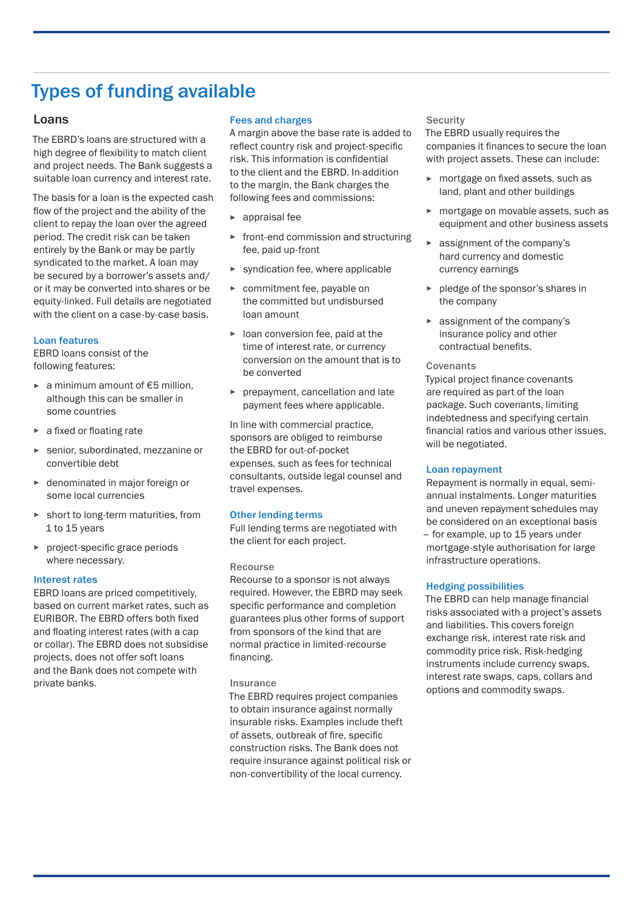## Types of funding available

#### Loans

The EBRD's loans are structured with a high degree of flexibility to match client and project needs. The Bank suggests a suitable loan currency and interest rate.

The basis for a loan is the expected cash flow of the project and the ability of the client to repay the loan over the agreed period. The credit risk can be taken entirely by the Bank or may be partly syndicated to the market. A loan may be secured by a borrower's assets and/ or it may be converted into shares or be equity-linked. Full details are negotiated with the client on a case-by-case basis.

#### Loan features

EBRD loans consist of the following features:

- ► a minimum amount of €5 million, although this can be smaller in some countries
- ► a fixed or floating rate
- senior, subordinated, mezzanine or convertible debt
- ► denominated in major foreign or some local currencies
- ► short to long-term maturities, from 1 to 15 years
- project-specific grace periods where necessary.

#### Interest rates

EBRD loans are priced competitively, based on current market rates, such as EURIBOR. The EBRD offers both fixed and floating interest rates (with a cap or collar). The EBRD does not subsidise projects, does not offer soft loans and the Bank does not compete with private banks.

#### Fees and charges

A margin above the base rate is added to reflect country risk and project-specific risk. This information is confidential to the client and the EBRD. In addition to the margin, the Bank charges the following fees and commissions:

- appraisal fee
- ► front-end commission and structuring fee, paid up-front
- ► syndication fee, where applicable
- ► commitment fee, payable on the committed but undisbursed loan amount
- ► loan conversion fee, paid at the time of interest rate, or currency conversion on the amount that is to be converted
- ► prepayment, cancellation and late payment fees where applicable.

In line with commercial practice, sponsors are obliged to reimburse the EBRD for out-of-pocket expenses, such as fees for technical consultants, outside legal counsel and travel expenses.

#### Other lending terms

Full lending terms are negotiated with the client for each project.

#### Recourse

Recourse to a sponsor is not always required. However, the EBRD may seek specific performance and completion guarantees plus other forms of support from sponsors of the kind that are normal practice in limited-recourse financing.

#### Insurance

The EBRD requires project companies to obtain insurance against normally insurable risks. Examples include theft of assets, outbreak of fire, specific construction risks. The Bank does not require insurance against political risk or non-convertibility of the local currency.

#### **Security**

The EBRD usually requires the companies it finances to secure the loan with project assets. These can include:

- ► mortgage on fixed assets, such as land, plant and other buildings
- ► mortgage on movable assets, such as equipment and other business assets
- ► assignment of the company's hard currency and domestic currency earnings
- ► pledge of the sponsor's shares in the company
- ► assignment of the company's insurance policy and other contractual benefits.

#### **Covenants**

Typical project finance covenants are required as part of the loan package. Such covenants, limiting indebtedness and specifying certain financial ratios and various other issues, will be negotiated.

#### Loan repayment

Repayment is normally in equal, semiannual instalments. Longer maturities and uneven repayment schedules may be considered on an exceptional basis – for example, up to 15 years under mortgage-style authorisation for large infrastructure operations.

#### Hedging possibilities

The EBRD can help manage financial risks associated with a project's assets and liabilities. This covers foreign exchange risk, interest rate risk and commodity price risk. Risk-hedging instruments include currency swaps, interest rate swaps, caps, collars and options and commodity swaps.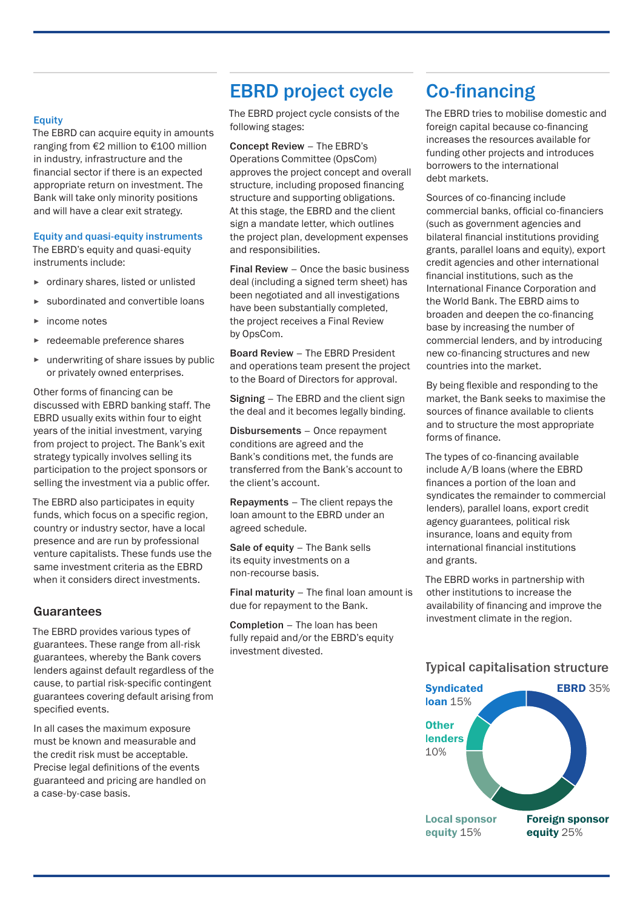#### **Equity**

The EBRD can acquire equity in amounts ranging from €2 million to €100 million in industry, infrastructure and the financial sector if there is an expected appropriate return on investment. The Bank will take only minority positions and will have a clear exit strategy.

#### Equity and quasi-equity instruments

The EBRD's equity and quasi-equity instruments include:

- ► ordinary shares, listed or unlisted
- ► subordinated and convertible loans
- ► income notes
- redeemable preference shares
- ► underwriting of share issues by public or privately owned enterprises.

Other forms of financing can be discussed with EBRD banking staff. The EBRD usually exits within four to eight years of the initial investment, varying from project to project. The Bank's exit strategy typically involves selling its participation to the project sponsors or selling the investment via a public offer.

The EBRD also participates in equity funds, which focus on a specific region. country or industry sector, have a local presence and are run by professional venture capitalists. These funds use the same investment criteria as the EBRD when it considers direct investments.

#### Guarantees

The EBRD provides various types of guarantees. These range from all-risk guarantees, whereby the Bank covers lenders against default regardless of the cause, to partial risk-specific contingent guarantees covering default arising from specified events.

In all cases the maximum exposure must be known and measurable and the credit risk must be acceptable. Precise legal definitions of the events guaranteed and pricing are handled on a case-by-case basis.

### EBRD project cycle

The EBRD project cycle consists of the following stages:

Concept Review – The EBRD's Operations Committee (OpsCom) approves the project concept and overall structure, including proposed financing structure and supporting obligations. At this stage, the EBRD and the client sign a mandate letter, which outlines the project plan, development expenses and responsibilities.

Final Review – Once the basic business deal (including a signed term sheet) has been negotiated and all investigations have been substantially completed, the project receives a Final Review by OpsCom.

Board Review – The EBRD President and operations team present the project to the Board of Directors for approval.

Signing – The EBRD and the client sign the deal and it becomes legally binding.

Disbursements – Once repayment conditions are agreed and the Bank's conditions met, the funds are transferred from the Bank's account to the client's account.

Repayments – The client repays the loan amount to the EBRD under an agreed schedule.

Sale of equity - The Bank sells its equity investments on a non-recourse basis.

Final maturity – The final loan amount is due for repayment to the Bank.

Completion – The loan has been fully repaid and/or the EBRD's equity investment divested.

### Co-financing

The EBRD tries to mobilise domestic and foreign capital because co-financing increases the resources available for funding other projects and introduces borrowers to the international debt markets.

Sources of co-financing include commercial banks, official co-financiers (such as government agencies and bilateral financial institutions providing grants, parallel loans and equity), export credit agencies and other international financial institutions, such as the International Finance Corporation and the World Bank. The EBRD aims to broaden and deepen the co-financing base by increasing the number of commercial lenders, and by introducing new co-financing structures and new countries into the market.

By being flexible and responding to the market, the Bank seeks to maximise the sources of finance available to clients and to structure the most appropriate forms of finance.

The types of co-financing available include A/B loans (where the EBRD finances a portion of the loan and syndicates the remainder to commercial lenders), parallel loans, export credit agency guarantees, political risk insurance, loans and equity from international financial institutions and grants.

The EBRD works in partnership with other institutions to increase the availability of financing and improve the investment climate in the region.

#### Typical capitalisation structure